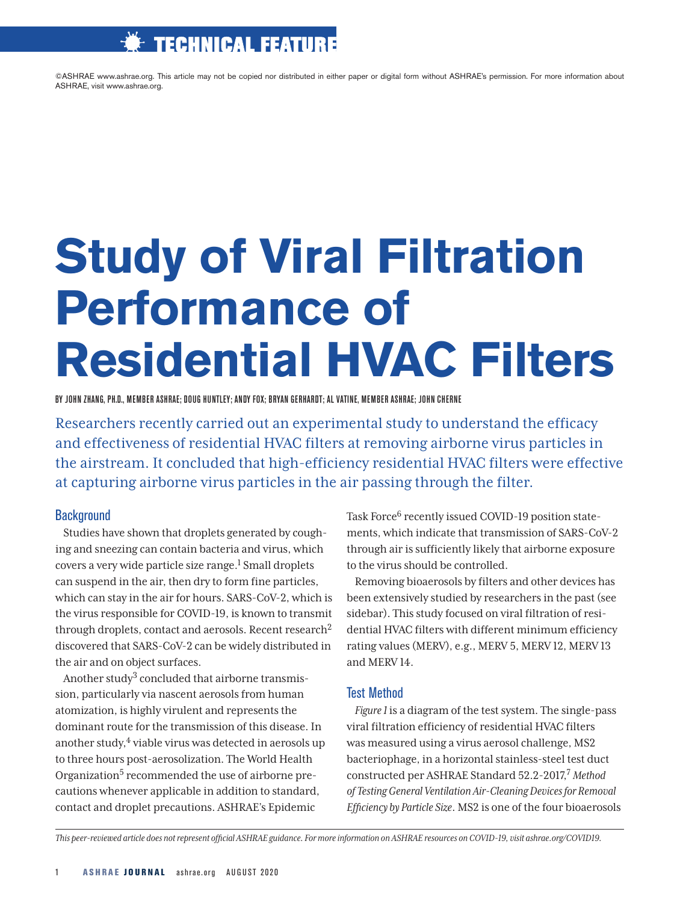# TECHNICAL FEATURE

©ASHRAE www.ashrae.org. This article may not be copied nor distributed in either paper or digital form without ASHRAE's permission. For more information about ASHRAE, visit www.ashrae.org.

# **Study of Viral Filtration Performance of Residential HVAC Filters**

BY JOHN ZHANG, PH.D., MEMBER ASHRAE; DOUG HUNTLEY; ANDY FOX; BRYAN GERHARDT; AL VATINE, MEMBER ASHRAE; JOHN CHERNE

Researchers recently carried out an experimental study to understand the efficacy and effectiveness of residential HVAC filters at removing airborne virus particles in the airstream. It concluded that high-efficiency residential HVAC filters were effective at capturing airborne virus particles in the air passing through the filter.

# **Background**

Studies have shown that droplets generated by coughing and sneezing can contain bacteria and virus, which covers a very wide particle size range.<sup>1</sup> Small droplets can suspend in the air, then dry to form fine particles, which can stay in the air for hours. SARS-CoV-2, which is the virus responsible for COVID-19, is known to transmit through droplets, contact and aerosols. Recent research2 discovered that SARS-CoV-2 can be widely distributed in the air and on object surfaces.

Another study<sup>3</sup> concluded that airborne transmission, particularly via nascent aerosols from human atomization, is highly virulent and represents the dominant route for the transmission of this disease. In another study, $4$  viable virus was detected in aerosols up to three hours post-aerosolization. The World Health Organization<sup>5</sup> recommended the use of airborne precautions whenever applicable in addition to standard, contact and droplet precautions. ASHRAE's Epidemic

Task Force<sup>6</sup> recently issued COVID-19 position statements, which indicate that transmission of SARS-CoV-2 through air is sufficiently likely that airborne exposure to the virus should be controlled.

Removing bioaerosols by filters and other devices has been extensively studied by researchers in the past (see sidebar). This study focused on viral filtration of residential HVAC filters with different minimum efficiency rating values (MERV), e.g., MERV 5, MERV 12, MERV 13 and MERV 14.

# Test Method

*Figure 1* is a diagram of the test system. The single-pass viral filtration efficiency of residential HVAC filters was measured using a virus aerosol challenge, MS2 bacteriophage, in a horizontal stainless-steel test duct constructed per ASHRAE Standard 52.2-2017,7 *Method of Testing General Ventilation Air-Cleaning Devices for Removal Efficiency by Particle Size*. MS2 is one of the four bioaerosols

*This peer-reviewed article does not represent official ASHRAE guidance. For more information on ASHRAE resources on COVID-19, visit ashrae.org/COVID19.*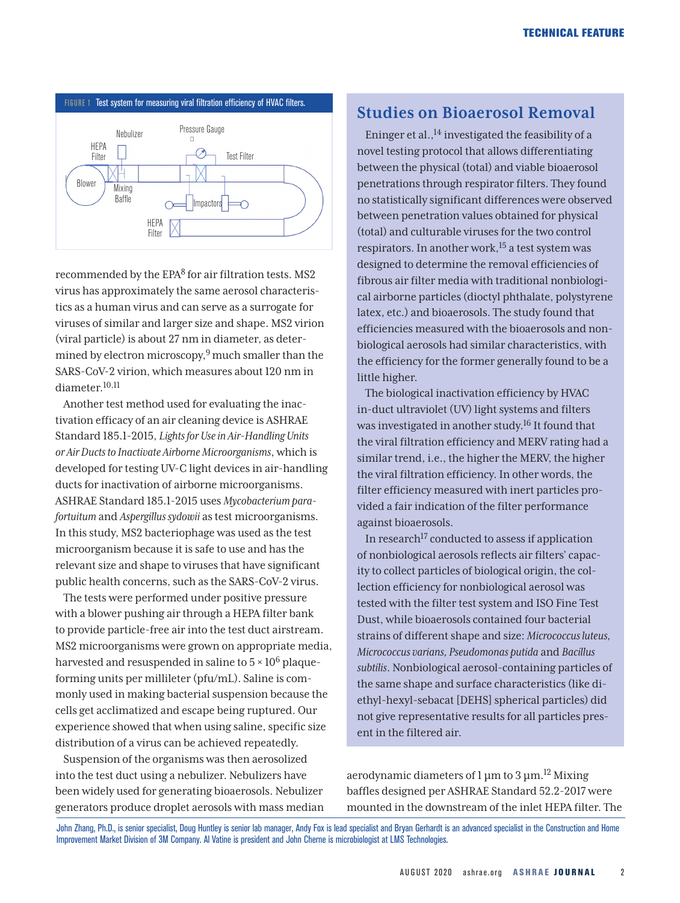

recommended by the EPA<sup>8</sup> for air filtration tests. MS2 virus has approximately the same aerosol characteristics as a human virus and can serve as a surrogate for viruses of similar and larger size and shape. MS2 virion (viral particle) is about 27 nm in diameter, as determined by electron microscopy, $9$  much smaller than the SARS-CoV-2 virion, which measures about 120 nm in diameter.10,11

Another test method used for evaluating the inactivation efficacy of an air cleaning device is ASHRAE Standard 185.1-2015, *Lights for Use in Air-Handling Units or Air Ducts to Inactivate Airborne Microorganisms*, which is developed for testing UV-C light devices in air-handling ducts for inactivation of airborne microorganisms. ASHRAE Standard 185.1-2015 uses *Mycobacterium parafortuitum* and *Aspergillus sydowii* as test microorganisms. In this study, MS2 bacteriophage was used as the test microorganism because it is safe to use and has the relevant size and shape to viruses that have significant public health concerns, such as the SARS-CoV-2 virus.

The tests were performed under positive pressure with a blower pushing air through a HEPA filter bank to provide particle-free air into the test duct airstream. MS2 microorganisms were grown on appropriate media, harvested and resuspended in saline to  $5 \times 10^6$  plaqueforming units per millileter (pfu/mL). Saline is commonly used in making bacterial suspension because the cells get acclimatized and escape being ruptured. Our experience showed that when using saline, specific size distribution of a virus can be achieved repeatedly.

Suspension of the organisms was then aerosolized into the test duct using a nebulizer. Nebulizers have been widely used for generating bioaerosols. Nebulizer generators produce droplet aerosols with mass median

# **Studies on Bioaerosol Removal**

Eninger et al., $^{14}$  investigated the feasibility of a novel testing protocol that allows differentiating between the physical (total) and viable bioaerosol penetrations through respirator filters. They found no statistically significant differences were observed between penetration values obtained for physical (total) and culturable viruses for the two control respirators. In another work,  $15$  a test system was designed to determine the removal efficiencies of fibrous air filter media with traditional nonbiological airborne particles (dioctyl phthalate, polystyrene latex, etc.) and bioaerosols. The study found that efficiencies measured with the bioaerosols and nonbiological aerosols had similar characteristics, with the efficiency for the former generally found to be a little higher.

The biological inactivation efficiency by HVAC in-duct ultraviolet (UV) light systems and filters was investigated in another study.16 It found that the viral filtration efficiency and MERV rating had a similar trend, i.e., the higher the MERV, the higher the viral filtration efficiency. In other words, the filter efficiency measured with inert particles provided a fair indication of the filter performance against bioaerosols.

In research<sup>17</sup> conducted to assess if application of nonbiological aerosols reflects air filters' capacity to collect particles of biological origin, the collection efficiency for nonbiological aerosol was tested with the filter test system and ISO Fine Test Dust, while bioaerosols contained four bacterial strains of different shape and size: *Micrococcus luteus, Micrococcus varians, Pseudomonas putida* and *Bacillus subtilis*. Nonbiological aerosol-containing particles of the same shape and surface characteristics (like diethyl-hexyl-sebacat [DEHS] spherical particles) did not give representative results for all particles present in the filtered air.

aerodynamic diameters of 1 μm to 3 μm.12 Mixing baffles designed per ASHRAE Standard 52.2-2017 were mounted in the downstream of the inlet HEPA filter. The

John Zhang, Ph.D., is senior specialist, Doug Huntley is senior lab manager, Andy Fox is lead specialist and Bryan Gerhardt is an advanced specialist in the Construction and Home Improvement Market Division of 3M Company. Al Vatine is president and John Cherne is microbiologist at LMS Technologies.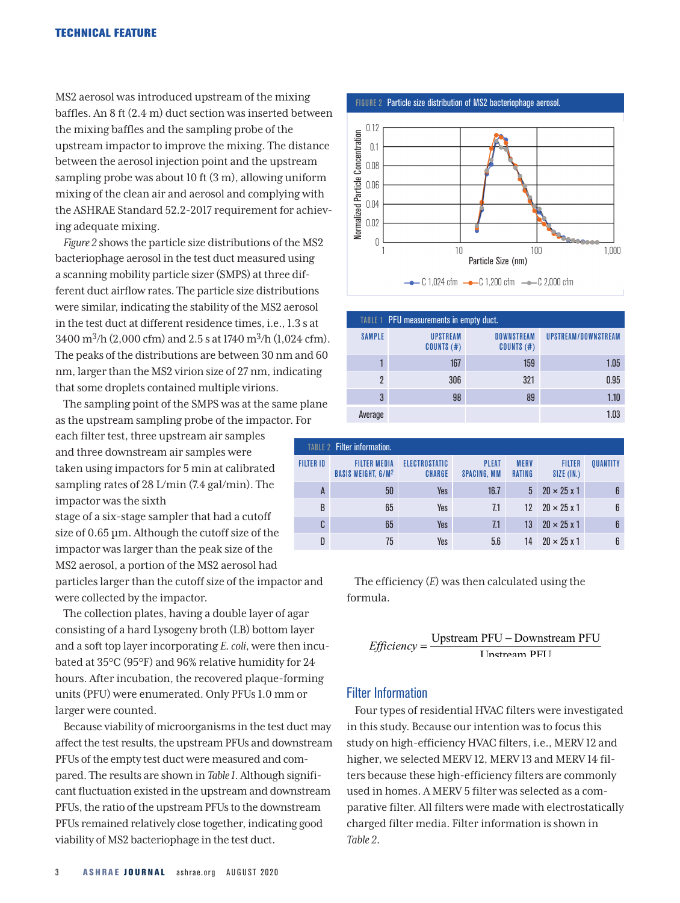MS2 aerosol was introduced upstream of the mixing baffles. An 8 ft (2.4 m) duct section was inserted between the mixing baffles and the sampling probe of the upstream impactor to improve the mixing. The distance between the aerosol injection point and the upstream sampling probe was about 10 ft (3 m), allowing uniform mixing of the clean air and aerosol and complying with the ASHRAE Standard 52.2-2017 requirement for achieving adequate mixing.

*Figure 2* shows the particle size distributions of the MS2 bacteriophage aerosol in the test duct measured using a scanning mobility particle sizer (SMPS) at three different duct airflow rates. The particle size distributions were similar, indicating the stability of the MS2 aerosol in the test duct at different residence times, i.e., 1.3 s at 3400 m3/h (2,000 cfm) and 2.5 s at 1740 m3/h (1,024 cfm). The peaks of the distributions are between 30 nm and 60 nm, larger than the MS2 virion size of 27 nm, indicating that some droplets contained multiple virions.

The sampling point of the SMPS was at the same plane as the upstream sampling probe of the impactor. For

each filter test, three upstream air samples and three downstream air samples were taken using impactors for 5 min at calibrated sampling rates of 28 L/min (7.4 gal/min). The impactor was the sixth

stage of a six-stage sampler that had a cutoff size of 0.65 µm. Although the cutoff size of the impactor was larger than the peak size of the MS2 aerosol, a portion of the MS2 aerosol had particles larger than the cutoff size of the impactor and were collected by the impactor.

The collection plates, having a double layer of agar consisting of a hard Lysogeny broth (LB) bottom layer and a soft top layer incorporating *E. coli*, were then incubated at 35°C (95°F) and 96% relative humidity for 24 hours. After incubation, the recovered plaque-forming units (PFU) were enumerated. Only PFUs 1.0 mm or larger were counted.

Because viability of microorganisms in the test duct may affect the test results, the upstream PFUs and downstream PFUs of the empty test duct were measured and compared. The results are shown in *Table 1*. Although significant fluctuation existed in the upstream and downstream PFUs, the ratio of the upstream PFUs to the downstream PFUs remained relatively close together, indicating good viability of MS2 bacteriophage in the test duct.





| TABLE 1 PFU measurements in empty duct. |                                 |                                   |                     |  |  |  |  |  |
|-----------------------------------------|---------------------------------|-----------------------------------|---------------------|--|--|--|--|--|
| <b>SAMPLE</b>                           | <b>UPSTREAM</b><br>$COUNTS$ (#) | <b>DOWNSTREAM</b><br>$COUNTS$ (#) | UPSTREAM/DOWNSTREAM |  |  |  |  |  |
|                                         | 167                             | 159                               | 1.05                |  |  |  |  |  |
| 2                                       | 306                             | 321                               | 0.95                |  |  |  |  |  |
| 3                                       | 98                              | 89                                | 1.10                |  |  |  |  |  |
| Average                                 |                                 |                                   | 1.03                |  |  |  |  |  |

|          |                               |                              |                                    |                                | <b>TABLE 2 Filter information.</b>                          |                  |
|----------|-------------------------------|------------------------------|------------------------------------|--------------------------------|-------------------------------------------------------------|------------------|
| QUANTITY | <b>FILTER</b><br>$SIZE$ (IN.) | <b>MERV</b><br><b>RATING</b> | <b>PLEAT</b><br><b>SPACING, MM</b> | ELECTROSTATIC<br><b>CHARGE</b> | <b>FILTER MEDIA</b><br><b>BASIS WEIGHT, G/M<sup>2</sup></b> | <b>FILTER ID</b> |
| 6        | $20 \times 25 \times 1$       | 5                            | 16.7                               | Yes                            | 50                                                          | A                |
| 6        | $20 \times 25 \times 1$       | 12                           | 7.1                                | Yes                            | 65                                                          | B                |
| 6        | $20 \times 25 \times 1$       | 13                           | 7.1                                | Yes                            | 65                                                          | C                |
| 6        | $20 \times 25 \times 1$       | 14                           | 5.6                                | Yes                            | 75                                                          | D                |

The efficiency (*E*) was then calculated using the formula.

*Efficiency* = 
$$
\frac{\text{Upstream PFU} - \text{Downstream PFU}}{\text{Instream PFI}}
$$

### Filter Information

Four types of residential HVAC filters were investigated in this study. Because our intention was to focus this study on high-efficiency HVAC filters, i.e., MERV 12 and higher, we selected MERV 12, MERV 13 and MERV 14 filters because these high-efficiency filters are commonly used in homes. A MERV 5 filter was selected as a comparative filter. All filters were made with electrostatically charged filter media. Filter information is shown in *Table 2*.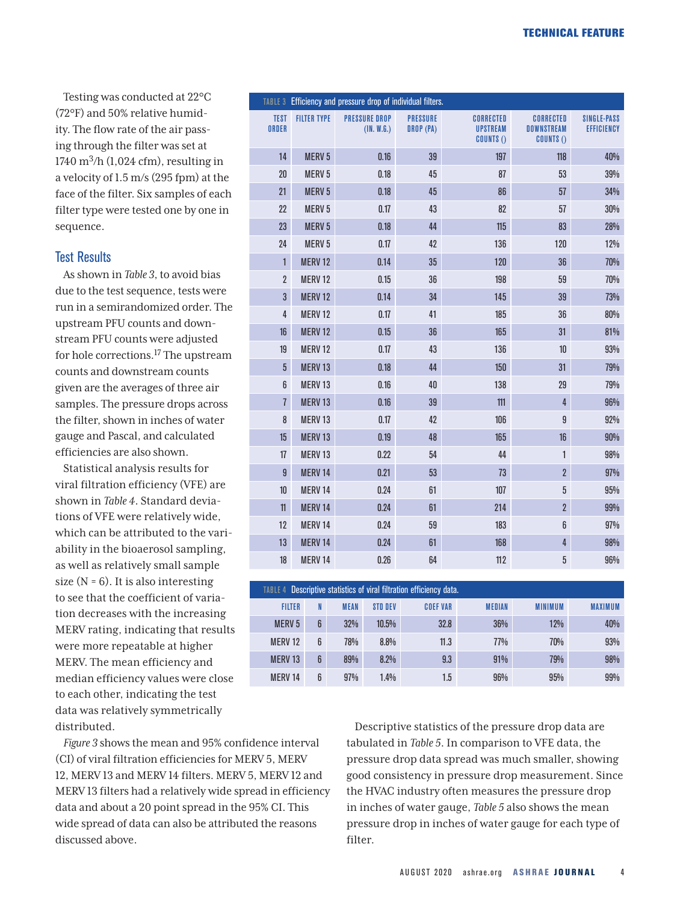Testing was conducted at 22°C (72°F) and 50% relative humidity. The flow rate of the air passing through the filter was set at 1740 m<sup>3</sup>/h (1,024 cfm), resulting in a velocity of 1.5 m/s (295 fpm) at the face of the filter. Six samples of each filter type were tested one by one in sequence.

# Test Results

As shown in *Table 3*, to avoid bias due to the test sequence, tests were run in a semirandomized order. The upstream PFU counts and downstream PFU counts were adjusted for hole corrections.17 The upstream counts and downstream counts given are the averages of three air samples. The pressure drops across the filter, shown in inches of water gauge and Pascal, and calculated efficiencies are also shown.

Statistical analysis results for viral filtration efficiency (VFE) are shown in *Table 4*. Standard deviations of VFE were relatively wide, which can be attributed to the variability in the bioaerosol sampling, as well as relatively small sample size  $(N = 6)$ . It is also interesting to see that the coefficient of variation decreases with the increasing MERV rating, indicating that results were more repeatable at higher MERV. The mean efficiency and median efficiency values were close to each other, indicating the test data was relatively symmetrically distributed.

*Figure 3* shows the mean and 95% confidence interval (CI) of viral filtration efficiencies for MERV 5, MERV 12, MERV 13 and MERV 14 filters. MERV 5, MERV 12 and MERV 13 filters had a relatively wide spread in efficiency data and about a 20 point spread in the 95% CI. This wide spread of data can also be attributed the reasons discussed above.

|                             |                    | TABLE 3 Efficiency and pressure drop of individual filters. |                              |                                                         |                                                    |                                  |
|-----------------------------|--------------------|-------------------------------------------------------------|------------------------------|---------------------------------------------------------|----------------------------------------------------|----------------------------------|
| <b>TEST</b><br><b>ORDER</b> | <b>FILTER TYPE</b> | <b>PRESSURE DROP</b><br>(1N. W.G.)                          | <b>PRESSURE</b><br>DROP (PA) | <b>CORRECTED</b><br><b>UPSTREAM</b><br><b>COUNTS ()</b> | <b>CORRECTED</b><br><b>DOWNSTREAM</b><br>COUNTS () | <b>SINGLE-PASS</b><br>EFFICIENCY |
| 14                          | <b>MERV 5</b>      | 0.16                                                        | 39                           | 197                                                     | 118                                                | 40%                              |
| 20                          | <b>MERV5</b>       | 0.18                                                        | 45                           | 87                                                      | 53                                                 | 39%                              |
| 21                          | <b>MERV 5</b>      | 0.18                                                        | 45                           | 86                                                      | 57                                                 | 34%                              |
| 22                          | <b>MERV 5</b>      | 0.17                                                        | 43                           | 82                                                      | 57                                                 | 30%                              |
| 23                          | <b>MERV 5</b>      | 0.18                                                        | 44                           | 115                                                     | 83                                                 | 28%                              |
| 24                          | <b>MERV5</b>       | 0.17                                                        | 42                           | 136                                                     | 120                                                | 12%                              |
| $\mathbf{1}$                | <b>MERV 12</b>     | 0.14                                                        | 35                           | 120                                                     | 36                                                 | 70%                              |
| $\overline{\mathbf{2}}$     | <b>MERV12</b>      | 0.15                                                        | 36                           | 198                                                     | 59                                                 | 70%                              |
| 3                           | MERV <sub>12</sub> | 0.14                                                        | 34                           | 145                                                     | 39                                                 | 73%                              |
| 4                           | <b>MERV12</b>      | 0.17                                                        | 41                           | 185                                                     | 36                                                 | 80%                              |
| 16                          | <b>MERV 12</b>     | 0.15                                                        | 36                           | 165                                                     | 31                                                 | 81%                              |
| 19                          | <b>MERV12</b>      | 0.17                                                        | 43                           | 136                                                     | 10                                                 | 93%                              |
| $\overline{5}$              | MERV <sub>13</sub> | 0.18                                                        | 44                           | 150                                                     | 31                                                 | 79%                              |
| 6                           | MERV <sub>13</sub> | 0.16                                                        | 40                           | 138                                                     | 29                                                 | 79%                              |
| $\overline{1}$              | MERV <sub>13</sub> | 0.16                                                        | 39                           | 111                                                     | $\overline{4}$                                     | 96%                              |
| 8                           | <b>MERV13</b>      | 0.17                                                        | 42                           | 106                                                     | $\boldsymbol{9}$                                   | 92%                              |
| 15                          | MERV <sub>13</sub> | 0.19                                                        | 48                           | 165                                                     | 16                                                 | 90%                              |
| 17                          | MERV <sub>13</sub> | 0.22                                                        | 54                           | 44                                                      | $\mathbf{1}$                                       | 98%                              |
| 9                           | <b>MERV 14</b>     | 0.21                                                        | 53                           | 73                                                      | $\overline{2}$                                     | 97%                              |
| $10$                        | MERV 14            | 0.24                                                        | 61                           | 107                                                     | $\sqrt{5}$                                         | 95%                              |
| 11                          | <b>MERV 14</b>     | 0.24                                                        | 61                           | 214                                                     | $\overline{2}$                                     | 99%                              |
| 12                          | <b>MERV 14</b>     | 0.24                                                        | 59                           | 183                                                     | 6                                                  | 97%                              |
| 13                          | MERV 14            | 0.24                                                        | 61                           | 168                                                     | 4                                                  | 98%                              |
| $18\,$                      | <b>MERV 14</b>     | 0.26                                                        | 64                           | 112                                                     | 5                                                  | 96%                              |

| TABLE 4 Descriptive statistics of viral filtration efficiency data. |   |             |         |                 |               |                |                |  |
|---------------------------------------------------------------------|---|-------------|---------|-----------------|---------------|----------------|----------------|--|
| <b>FILTER</b>                                                       | N | <b>MEAN</b> | STD DEV | <b>COEF VAR</b> | <b>MEDIAN</b> | <b>MINIMUM</b> | <b>MAXIMUM</b> |  |
| <b>MERV5</b>                                                        | 6 | 32%         | 10.5%   | 32.8            | 36%           | 12%            | 40%            |  |
| <b>MERV12</b>                                                       | 6 | 78%         | 8.8%    | 11.3            | 77%           | 70%            | 93%            |  |
| <b>MERV13</b>                                                       | 6 | 89%         | 8.2%    | 9.3             | 91%           | 79%            | 98%            |  |
| <b>MERV14</b>                                                       | 6 | 97%         | $1.4\%$ | 1.5             | 96%           | 95%            | 99%            |  |

Descriptive statistics of the pressure drop data are tabulated in *Table 5*. In comparison to VFE data, the pressure drop data spread was much smaller, showing good consistency in pressure drop measurement. Since the HVAC industry often measures the pressure drop in inches of water gauge, *Table 5* also shows the mean pressure drop in inches of water gauge for each type of filter.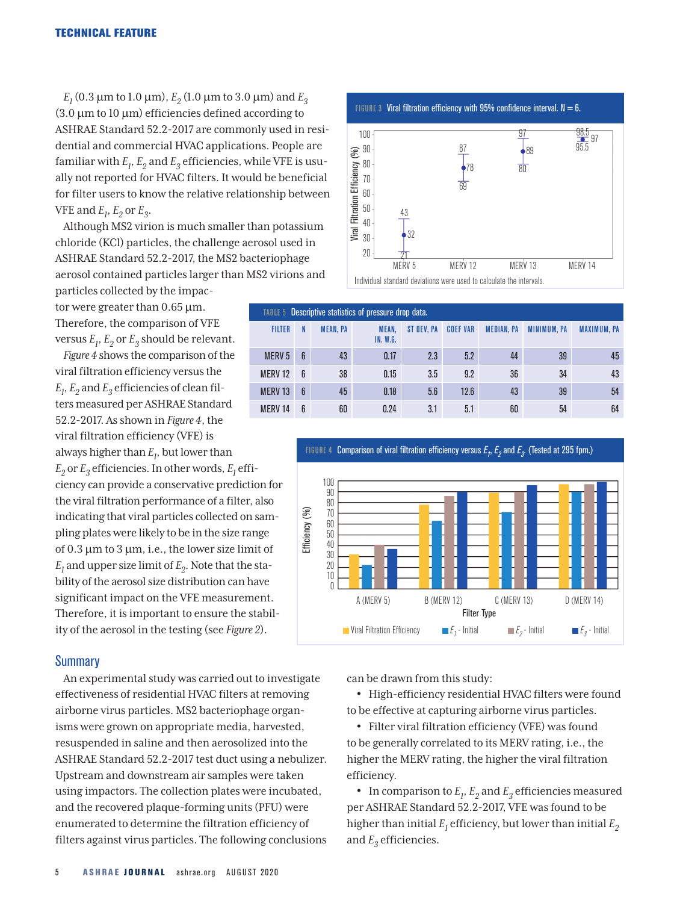$E_1$  (0.3  $\mu$ m to 1.0  $\mu$ m),  $E_2$  (1.0  $\mu$ m to 3.0  $\mu$ m) and  $E_3$  $(3.0 \mu m)$  to 10  $\mu$ m) efficiencies defined according to ASHRAE Standard 52.2-2017 are commonly used in residential and commercial HVAC applications. People are familiar with  $E_1$ ,  $E_2$  and  $E_3$  efficiencies, while VFE is usually not reported for HVAC filters. It would be beneficial for filter users to know the relative relationship between VFE and  $E_1$ ,  $E_2$  or  $E_3$ .

Although MS2 virion is much smaller than potassium chloride (KCl) particles, the challenge aerosol used in ASHRAE Standard 52.2-2017, the MS2 bacteriophage aerosol contained particles larger than MS2 virions and

particles collected by the impactor were greater than  $0.65 \,\mathrm{\mu m}$ . Therefore, the comparison of VFE versus  $E_1$ ,  $E_2$  or  $E_3$  should be relevant.

*Figure 4* shows the comparison of the viral filtration efficiency versus the  $E_1, E_2$  and  $E_3$  efficiencies of clean filters measured per ASHRAE Standard 52.2-2017. As shown in *Figure 4*, the viral filtration efficiency (VFE) is always higher than  $E_l$ , but lower than  $E_2$  or  $E_3$  efficiencies. In other words,  $E_1$  efficiency can provide a conservative prediction for the viral filtration performance of a filter, also indicating that viral particles collected on sampling plates were likely to be in the size range of 0.3  $\mu$ m to 3  $\mu$ m, i.e., the lower size limit of  $E_1$  and upper size limit of  $E_2$ . Note that the stability of the aerosol size distribution can have significant impact on the VFE measurement. Therefore, it is important to ensure the stability of the aerosol in the testing (see *Figure 2*).

## Summary

An experimental study was carried out to investigate effectiveness of residential HVAC filters at removing airborne virus particles. MS2 bacteriophage organisms were grown on appropriate media, harvested, resuspended in saline and then aerosolized into the ASHRAE Standard 52.2-2017 test duct using a nebulizer. Upstream and downstream air samples were taken using impactors. The collection plates were incubated, and the recovered plaque-forming units (PFU) were enumerated to determine the filtration efficiency of filters against virus particles. The following conclusions





| TABLE 5 Descriptive statistics of pressure drop data. |                |                 |                                 |            |                 |                   |                    |                    |  |
|-------------------------------------------------------|----------------|-----------------|---------------------------------|------------|-----------------|-------------------|--------------------|--------------------|--|
| <b>FILTER</b>                                         |                | <b>MEAN, PA</b> | <b>MEAN.</b><br><b>IN. W.G.</b> | ST DEV. PA | <b>COEF VAR</b> | <b>MEDIAN, PA</b> | <b>MINIMUM, PA</b> | <b>MAXIMUM, PA</b> |  |
| <b>MERV<sub>5</sub></b>                               | $\mathbf{6}$   | 43              | 0.17                            | 2.3        | 5.2             | 44                | 39                 | 45                 |  |
| <b>MERV12</b>                                         | $\mathsf{f}$   | 38              | 0.15                            | 3.5        | 9.2             | 36                | 34                 | 43                 |  |
| <b>MERV13</b>                                         | $6\phantom{1}$ | 45              | 0.18                            | 5.6        | 12.6            | 43                | 39                 | 54                 |  |
| <b>MFRV14</b>                                         | $\mathsf{f}$   | 60              | 0.24                            | 3.1        | 5.1             | 60                | 54                 | 64                 |  |



can be drawn from this study:

• High-efficiency residential HVAC filters were found to be effective at capturing airborne virus particles.

• Filter viral filtration efficiency (VFE) was found to be generally correlated to its MERV rating, i.e., the higher the MERV rating, the higher the viral filtration efficiency.

• In comparison to  $E_1$ ,  $E_2$  and  $E_3$  efficiencies measured per ASHRAE Standard 52.2-2017, VFE was found to be higher than initial  $E_1$  efficiency, but lower than initial  $E_2$ and  $E_3$  efficiencies.